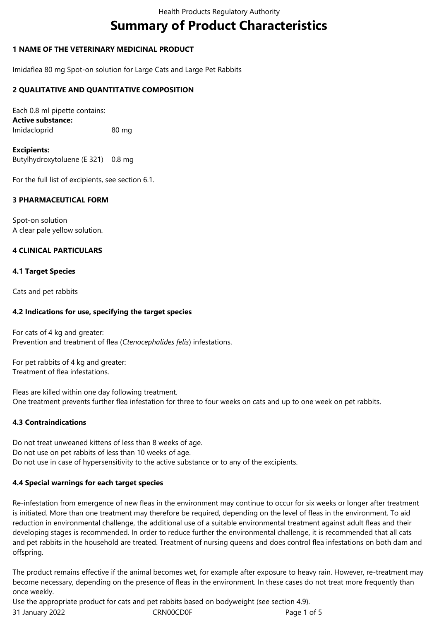# **Summary of Product Characteristics**

# **1 NAME OF THE VETERINARY MEDICINAL PRODUCT**

Imidaflea 80 mg Spot-on solution for Large Cats and Large Pet Rabbits

# **2 QUALITATIVE AND QUANTITATIVE COMPOSITION**

Each 0.8 ml pipette contains: **Active substance:** Imidacloprid 80 mg

**Excipients:** Butylhydroxytoluene (E 321) 0.8 mg

For the full list of excipients, see section 6.1.

# **3 PHARMACEUTICAL FORM**

Spot-on solution A clear pale yellow solution.

# **4 CLINICAL PARTICULARS**

### **4.1 Target Species**

Cats and pet rabbits

### **4.2 Indications for use, specifying the target species**

For cats of 4 kg and greater: Prevention and treatment of flea (*Ctenocephalides felis*) infestations.

For pet rabbits of 4 kg and greater: Treatment of flea infestations.

Fleas are killed within one day following treatment. One treatment prevents further flea infestation for three to four weeks on cats and up to one week on pet rabbits.

# **4.3 Contraindications**

Do not treat unweaned kittens of less than 8 weeks of age. Do not use on pet rabbits of less than 10 weeks of age. Do not use in case of hypersensitivity to the active substance or to any of the excipients.

# **4.4 Special warnings for each target species**

Re-infestation from emergence of new fleas in the environment may continue to occur for six weeks or longer after treatment is initiated. More than one treatment may therefore be required, depending on the level of fleas in the environment. To aid reduction in environmental challenge, the additional use of a suitable environmental treatment against adult fleas and their developing stages is recommended. In order to reduce further the environmental challenge, it is recommended that all cats and pet rabbits in the household are treated. Treatment of nursing queens and does control flea infestations on both dam and offspring.

The product remains effective if the animal becomes wet, for example after exposure to heavy rain. However, re-treatment may become necessary, depending on the presence of fleas in the environment. In these cases do not treat more frequently than once weekly.

Use the appropriate product for cats and pet rabbits based on bodyweight (see section 4.9).

31 January 2022 CRN00CD0F CRNOOCD0F Page 1 of 5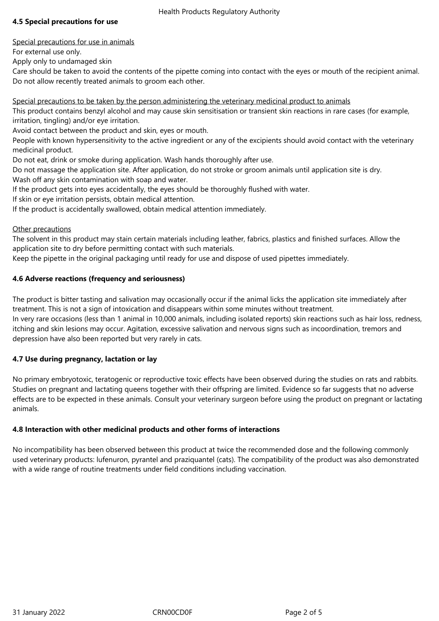### Health Products Regulatory Authority

# **4.5 Special precautions for use**

Special precautions for use in animals

For external use only.

Apply only to undamaged skin

Care should be taken to avoid the contents of the pipette coming into contact with the eyes or mouth of the recipient animal. Do not allow recently treated animals to groom each other.

Special precautions to be taken by the person administering the veterinary medicinal product to animals

This product contains benzyl alcohol and may cause skin sensitisation or transient skin reactions in rare cases (for example, irritation, tingling) and/or eye irritation.

Avoid contact between the product and skin, eyes or mouth.

People with known hypersensitivity to the active ingredient or any of the excipients should avoid contact with the veterinary medicinal product.

Do not eat, drink or smoke during application. Wash hands thoroughly after use.

Do not massage the application site. After application, do not stroke or groom animals until application site is dry. Wash off any skin contamination with soap and water.

If the product gets into eyes accidentally, the eyes should be thoroughly flushed with water.

If skin or eye irritation persists, obtain medical attention.

If the product is accidentally swallowed, obtain medical attention immediately.

### Other precautions

The solvent in this product may stain certain materials including leather, fabrics, plastics and finished surfaces. Allow the application site to dry before permitting contact with such materials.

Keep the pipette in the original packaging until ready for use and dispose of used pipettes immediately.

### **4.6 Adverse reactions (frequency and seriousness)**

The product is bitter tasting and salivation may occasionally occur if the animal licks the application site immediately after treatment. This is not a sign of intoxication and disappears within some minutes without treatment.

In very rare occasions (less than 1 animal in 10,000 animals, including isolated reports) skin reactions such as hair loss, redness, itching and skin lesions may occur. Agitation, excessive salivation and nervous signs such as incoordination, tremors and depression have also been reported but very rarely in cats.

# **4.7 Use during pregnancy, lactation or lay**

No primary embryotoxic, teratogenic or reproductive toxic effects have been observed during the studies on rats and rabbits. Studies on pregnant and lactating queens together with their offspring are limited. Evidence so far suggests that no adverse effects are to be expected in these animals. Consult your veterinary surgeon before using the product on pregnant or lactating animals.

# **4.8 Interaction with other medicinal products and other forms of interactions**

No incompatibility has been observed between this product at twice the recommended dose and the following commonly used veterinary products: lufenuron, pyrantel and praziquantel (cats). The compatibility of the product was also demonstrated with a wide range of routine treatments under field conditions including vaccination.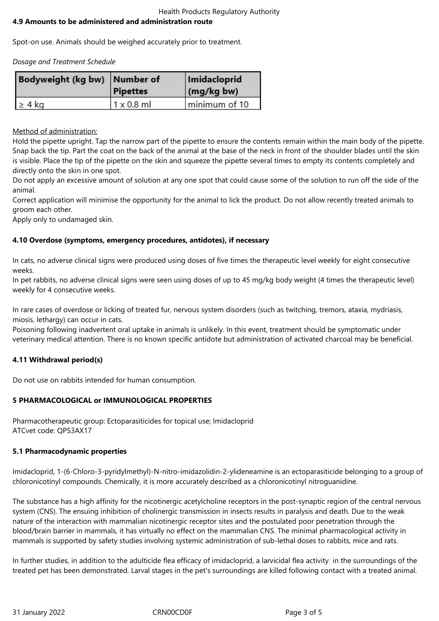#### Health Products Regulatory Authority **4.9 Amounts to be administered and administration route**

Spot-on use. Animals should be weighed accurately prior to treatment.

*Dosage and Treatment Schedule*

| Bodyweight (kg bw) Number of | <b>Pipettes</b>   | Imidacloprid<br>$\log$ (mg/kg bw) |
|------------------------------|-------------------|-----------------------------------|
| $\geq 4$ kg                  | $1 \times 0.8$ ml | minimum of 10                     |

Method of administration:

Hold the pipette upright. Tap the narrow part of the pipette to ensure the contents remain within the main body of the pipette. Snap back the tip. Part the coat on the back of the animal at the base of the neck in front of the shoulder blades until the skin is visible. Place the tip of the pipette on the skin and squeeze the pipette several times to empty its contents completely and directly onto the skin in one spot.

Do not apply an excessive amount of solution at any one spot that could cause some of the solution to run off the side of the animal.

Correct application will minimise the opportunity for the animal to lick the product. Do not allow recently treated animals to groom each other.

Apply only to undamaged skin.

# **4.10 Overdose (symptoms, emergency procedures, antidotes), if necessary**

In cats, no adverse clinical signs were produced using doses of five times the therapeutic level weekly for eight consecutive weeks.

In pet rabbits, no adverse clinical signs were seen using doses of up to 45 mg/kg body weight (4 times the therapeutic level) weekly for 4 consecutive weeks.

In rare cases of overdose or licking of treated fur, nervous system disorders (such as twitching, tremors, ataxia, mydriasis, miosis, lethargy) can occur in cats.

Poisoning following inadvertent oral uptake in animals is unlikely. In this event, treatment should be symptomatic under veterinary medical attention. There is no known specific antidote but administration of activated charcoal may be beneficial.

# **4.11 Withdrawal period(s)**

Do not use on rabbits intended for human consumption.

# **5 PHARMACOLOGICAL or IMMUNOLOGICAL PROPERTIES**

Pharmacotherapeutic group: Ectoparasiticides for topical use; Imidacloprid ATCvet code: QP53AX17

# **5.1 Pharmacodynamic properties**

Imidacloprid, 1-(6-Chloro-3-pyridylmethyl)-N-nitro-imidazolidin-2-ylideneamine is an ectoparasiticide belonging to a group of chloronicotinyl compounds. Chemically, it is more accurately described as a chloronicotinyl nitroguanidine.

The substance has a high affinity for the nicotinergic acetylcholine receptors in the post-synaptic region of the central nervous system (CNS). The ensuing inhibition of cholinergic transmission in insects results in paralysis and death. Due to the weak nature of the interaction with mammalian nicotinergic receptor sites and the postulated poor penetration through the blood/brain barrier in mammals, it has virtually no effect on the mammalian CNS. The minimal pharmacological activity in mammals is supported by safety studies involving systemic administration of sub-lethal doses to rabbits, mice and rats.

In further studies, in addition to the adulticide flea efficacy of imidacloprid, a larvicidal flea activity in the surroundings of the treated pet has been demonstrated. Larval stages in the pet's surroundings are killed following contact with a treated animal.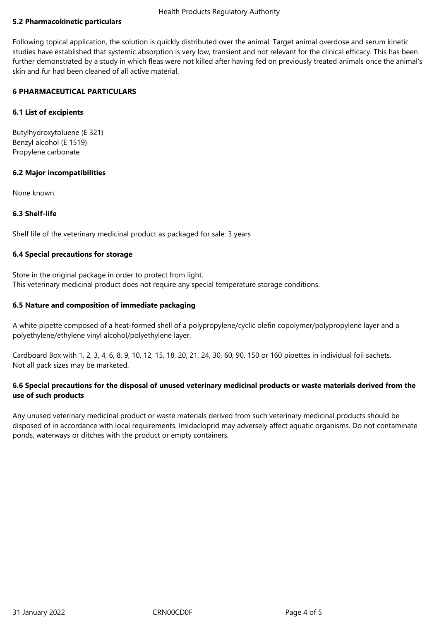# **5.2 Pharmacokinetic particulars**

Following topical application, the solution is quickly distributed over the animal. Target animal overdose and serum kinetic studies have established that systemic absorption is very low, transient and not relevant for the clinical efficacy. This has been further demonstrated by a study in which fleas were not killed after having fed on previously treated animals once the animal's skin and fur had been cleaned of all active material.

### **6 PHARMACEUTICAL PARTICULARS**

### **6.1 List of excipients**

Butylhydroxytoluene (E 321) Benzyl alcohol (E 1519) Propylene carbonate

### **6.2 Major incompatibilities**

None known.

### **6.3 Shelf-life**

Shelf life of the veterinary medicinal product as packaged for sale: 3 years

### **6.4 Special precautions for storage**

Store in the original package in order to protect from light. This veterinary medicinal product does not require any special temperature storage conditions.

### **6.5 Nature and composition of immediate packaging**

A white pipette composed of a heat-formed shell of a polypropylene/cyclic olefin copolymer/polypropylene layer and a polyethylene/ethylene vinyl alcohol/polyethylene layer.

Cardboard Box with 1, 2, 3, 4, 6, 8, 9, 10, 12, 15, 18, 20, 21, 24, 30, 60, 90, 150 or 160 pipettes in individual foil sachets. Not all pack sizes may be marketed.

# **6.6 Special precautions for the disposal of unused veterinary medicinal products or waste materials derived from the use of such products**

Any unused veterinary medicinal product or waste materials derived from such veterinary medicinal products should be disposed of in accordance with local requirements. Imidacloprid may adversely affect aquatic organisms. Do not contaminate ponds, waterways or ditches with the product or empty containers.